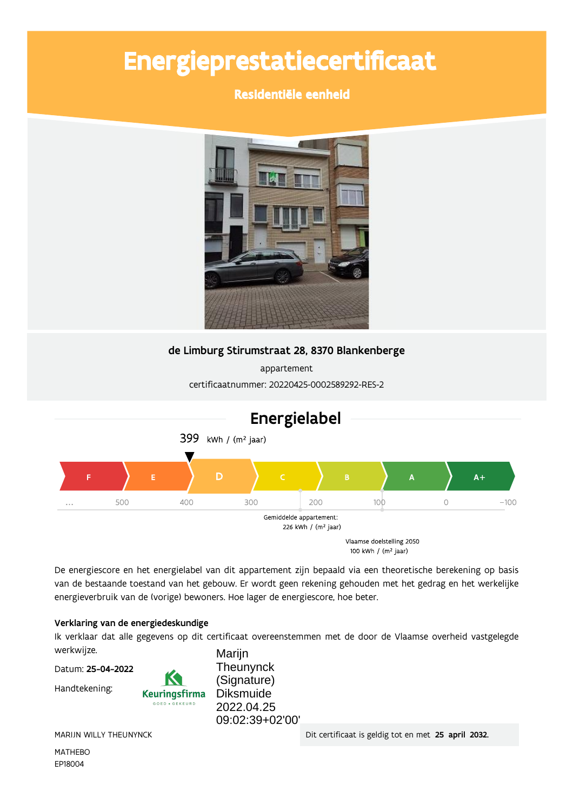# Energieprestatiecertificaat

Residentiële eenheid



### de Limburg Stirumstraat 28, 8370 Blankenberge

appartement certificaatnummer: 20220425-0002589292-RES-2



De energiescore en het energielabel van dit appartement zijn bepaald via een theoretische berekening op basis van de bestaande toestand van het gebouw. Er wordt geen rekening gehouden met het gedrag en het werkelijke energieverbruik van de (vorige) bewoners. Hoe lager de energiescore, hoe beter.

#### Verklaring van de energiedeskundige

Ik verklaar dat alle gegevens op dit certificaat overeenstemmen met de door de Vlaamse overheid vastgelegde werkwijze. Marijn

Datum: 25-04-2022

Handtekening:



Theunynck (Signature) **Diksmuide** 2022.04.25 09:02:39+02'00'

MARIJN WILLY THEUNYNCK

**MATHEBO** EP18004

Dit certificaat is geldig tot en met 25 april 2032.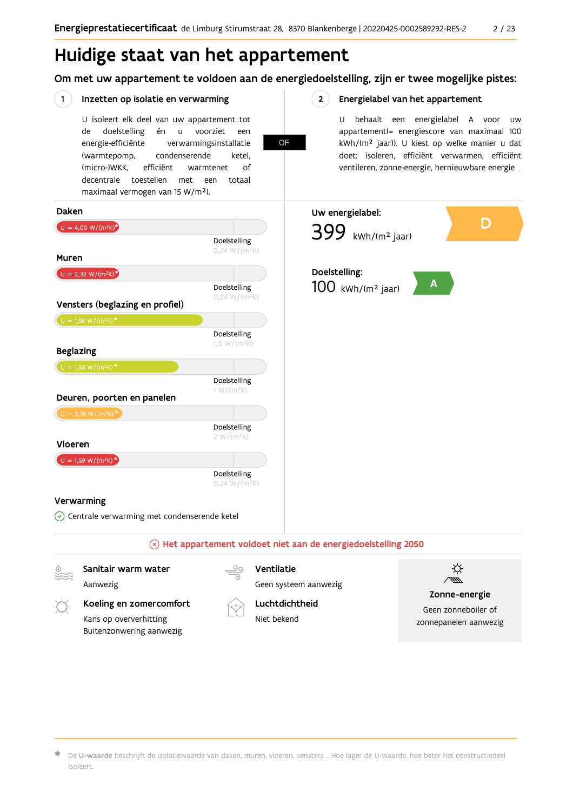## Huidige staat van het appartement

Om met uw appartement te voldoen aan de energiedoelstelling, zijn er twee mogelijke pistes:

OF

 $2^{\circ}$ 

#### $(1)$ Inzetten op isolatie en verwarming

U isoleert elk deel van uw appartement tot doelstelling voorziet de én  $\sf u$ een energie-efficiënte verwarmingsinstallatie (warmtepomp, condenserende ketel, (micro-)WKK. efficiënt warmtenet  $\bigcap_{ }$ decentrale toestellen met een totaal maximaal vermogen van 15 W/m<sup>2</sup>).

Energielabel van het appartement

U behaalt een energielabel A voor  $\overline{U}$ appartement(= energiescore van maximaal 100 kWh/(m<sup>2</sup> jaar)). U kiest op welke manier u dat doet: isoleren, efficiënt verwarmen, efficiënt ventileren, zonne-energie, hernieuwbare energie ...



Kans op oververhitting Buitenzonwering aanwezig



Luchtdichtheid

Niet bekend



De U-waarde beschrijft de isolatiewaarde van daken, muren, vloeren, vensters ... Hoe lager de U-waarde, hoe beter het constructiedeel isoleert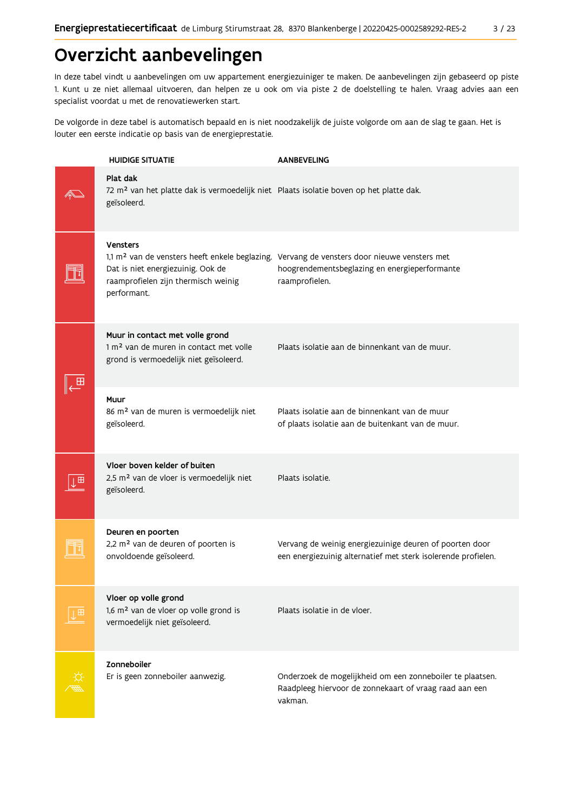## Overzicht aanbevelingen

In deze tabel vindt u aanbevelingen om uw appartement energiezuiniger te maken. De aanbevelingen zijn gebaseerd op piste 1. Kunt u ze niet allemaal uitvoeren, dan helpen ze u ook om via piste 2 de doelstelling te halen. Vraag advies aan een specialist voordat u met de renovatiewerken start.

De volgorde in deze tabel is automatisch bepaald en is niet noodzakelijk de juiste volgorde om aan de slag te gaan. Het is louter een eerste indicatie op basis van de energieprestatie.

|   | <b>HUIDIGE SITUATIE</b>                                                                                                         | <b>AANBEVELING</b>                                                                                                                                                         |
|---|---------------------------------------------------------------------------------------------------------------------------------|----------------------------------------------------------------------------------------------------------------------------------------------------------------------------|
|   | Plat dak<br>72 m <sup>2</sup> van het platte dak is vermoedelijk niet Plaats isolatie boven op het platte dak.<br>geïsoleerd.   |                                                                                                                                                                            |
|   | <b>Vensters</b><br>Dat is niet energiezuinig. Ook de<br>raamprofielen zijn thermisch weinig<br>performant.                      | 1,1 m <sup>2</sup> van de vensters heeft enkele beglazing. Vervang de vensters door nieuwe vensters met<br>hoogrendementsbeglazing en energieperformante<br>raamprofielen. |
|   | Muur in contact met volle grond<br>1 m <sup>2</sup> van de muren in contact met volle<br>grond is vermoedelijk niet geïsoleerd. | Plaats isolatie aan de binnenkant van de muur.                                                                                                                             |
|   | Muur<br>86 m <sup>2</sup> van de muren is vermoedelijk niet<br>geïsoleerd.                                                      | Plaats isolatie aan de binnenkant van de muur<br>of plaats isolatie aan de buitenkant van de muur.                                                                         |
|   | Vloer boven kelder of buiten<br>2,5 m <sup>2</sup> van de vloer is vermoedelijk niet<br>geïsoleerd.                             | Plaats isolatie.                                                                                                                                                           |
|   | Deuren en poorten<br>2,2 m <sup>2</sup> van de deuren of poorten is<br>onvoldoende geïsoleerd.                                  | Vervang de weinig energiezuinige deuren of poorten door<br>een energiezuinig alternatief met sterk isolerende profielen.                                                   |
| 田 | Vloer op volle grond<br>1,6 m <sup>2</sup> van de vloer op volle grond is<br>vermoedelijk niet geïsoleerd.                      | Plaats isolatie in de vloer.                                                                                                                                               |
|   | Zonneboiler<br>Er is geen zonneboiler aanwezig.                                                                                 | Onderzoek de mogelijkheid om een zonneboiler te plaatsen.<br>Raadpleeg hiervoor de zonnekaart of vraag raad aan een<br>vakman.                                             |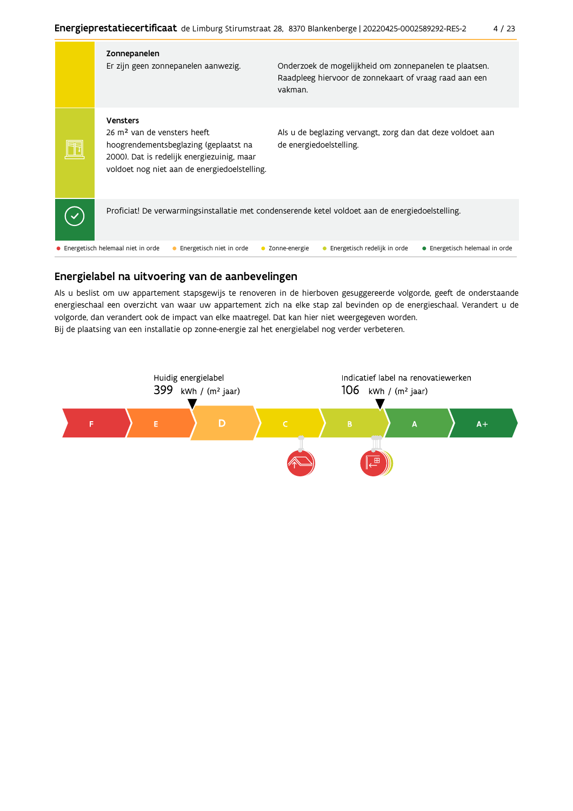| Zonnepanelen<br>Er zijn geen zonnepanelen aanwezig.                                                                                                                                               | Onderzoek de mogelijkheid om zonnepanelen te plaatsen.<br>Raadpleeg hiervoor de zonnekaart of vraag raad aan een<br>vakman. |                                |
|---------------------------------------------------------------------------------------------------------------------------------------------------------------------------------------------------|-----------------------------------------------------------------------------------------------------------------------------|--------------------------------|
| <b>Vensters</b><br>26 m <sup>2</sup> van de vensters heeft<br>hoogrendementsbeglazing (geplaatst na<br>2000). Dat is redelijk energiezuinig, maar<br>voldoet nog niet aan de energiedoelstelling. | Als u de beglazing vervangt, zorg dan dat deze voldoet aan<br>de energiedoelstelling.                                       |                                |
| Proficiat! De verwarmingsinstallatie met condenserende ketel voldoet aan de energiedoelstelling.                                                                                                  |                                                                                                                             |                                |
| • Energetisch helemaal niet in orde<br>Energetisch niet in orde                                                                                                                                   | Zonne-energie<br>Energetisch redelijk in orde                                                                               | • Energetisch helemaal in orde |

### Energielabel na uitvoering van de aanbevelingen

Als u beslist om uw appartement stapsgewijs te renoveren in de hierboven gesuggereerde volgorde, geeft de onderstaande energieschaal een overzicht van waar uw appartement zich na elke stap zal bevinden op de energieschaal. Verandert u de volgorde, dan verandert ook de impact van elke maatregel. Dat kan hier niet weergegeven worden. Bij de plaatsing van een installatie op zonne-energie zal het energielabel nog verder verbeteren.

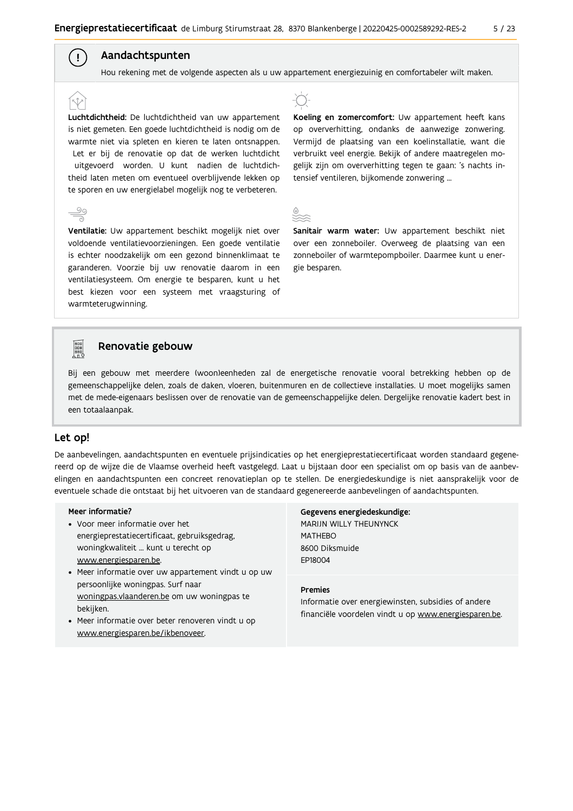#### Aandachtspunten

 $\left( \begin{array}{c} 1 \end{array} \right)$ 

Hou rekening met de volgende aspecten als u uw appartement energiezuinig en comfortabeler wilt maken.

Luchtdichtheid: De luchtdichtheid van uw appartement is niet gemeten. Een goede luchtdichtheid is nodig om de warmte niet via spleten en kieren te laten ontsnappen. Let er bij de renovatie op dat de werken luchtdicht uitgevoerd worden. U kunt nadien de luchtdichtheid laten meten om eventueel overblijvende lekken op te sporen en uw energielabel mogelijk nog te verbeteren.

Ventilatie: Uw appartement beschikt mogelijk niet over voldoende ventilatievoorzieningen. Een goede ventilatie is echter noodzakelijk om een gezond binnenklimaat te garanderen. Voorzie bij uw renovatie daarom in een ventilatiesysteem. Om energie te besparen, kunt u het best kiezen voor een systeem met vraagsturing of warmteterugwinning.



Koeling en zomercomfort: Uw appartement heeft kans op oververhitting, ondanks de aanwezige zonwering. Vermijd de plaatsing van een koelinstallatie, want die verbruikt veel energie. Bekijk of andere maatregelen mogelijk zijn om oververhitting tegen te gaan: 's nachts intensief ventileren, bijkomende zonwering ...



Sanitair warm water: Uw appartement beschikt niet over een zonneboiler. Overweeg de plaatsing van een zonneboiler of warmtepompboiler. Daarmee kunt u energie besparen.



#### Renovatie gebouw

Bij een gebouw met meerdere (woon)eenheden zal de energetische renovatie vooral betrekking hebben op de gemeenschappelijke delen, zoals de daken, vloeren, buitenmuren en de collectieve installaties. U moet mogelijks samen met de mede-eigenaars beslissen over de renovatie van de gemeenschappelijke delen. Dergelijke renovatie kadert best in een totaalaanpak.

#### Let op!

De aanbevelingen, aandachtspunten en eventuele prijsindicaties op het energieprestatiecertificaat worden standaard gegenereerd op de wijze die de Vlaamse overheid heeft vastgelegd. Laat u bijstaan door een specialist om op basis van de aanbevelingen en aandachtspunten een concreet renovatieplan op te stellen. De energiedeskundige is niet aansprakelijk voor de eventuele schade die ontstaat bij het uitvoeren van de standaard gegenereerde aanbevelingen of aandachtspunten.

#### Meer informatie?

- Voor meer informatie over het energieprestatiecertificaat, gebruiksgedrag, woningkwaliteit ... kunt u terecht op www.energiesparen.be.
- Meer informatie over uw appartement vindt u op uw persoonlijke woningpas. Surf naar woningpas.vlaanderen.be om uw woningpas te bekijken.
- Meer informatie over beter renoveren vindt u op www.energiesparen.be/ikbenoveer.

Gegevens energiedeskundige: MARIJN WILLY THEUNYNCK MATHFRO 8600 Diksmuide EP18004

#### **Premies**

Informatie over energiewinsten, subsidies of andere financiële voordelen vindt u op www.energiesparen.be.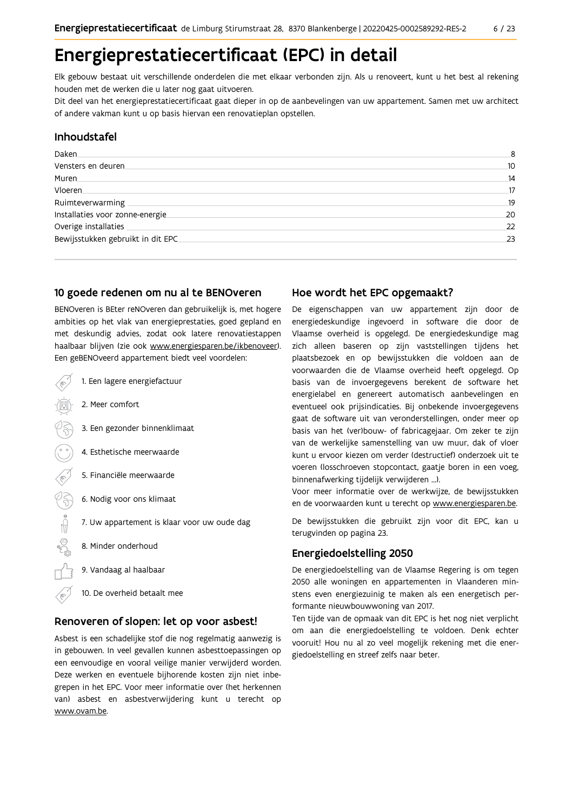## Energieprestatiecertificaat (EPC) in detail

Elk gebouw bestaat uit verschillende onderdelen die met elkaar verbonden zijn. Als u renoveert, kunt u het best al rekening houden met de werken die u later nog gaat uitvoeren.

Dit deel van het energieprestatiecertificaat gaat dieper in op de aanbevelingen van uw appartement. Samen met uw architect of andere vakman kunt u op basis hiervan een renovatieplan opstellen.

#### Inhoudstafel

| Daken.                            | 8  |
|-----------------------------------|----|
| Vensters en deuren                | 10 |
| Muren                             | 14 |
| Vloeren                           | 17 |
| Ruimteverwarming                  | 19 |
| Installaties voor zonne-energie.  | 20 |
| Overige installaties              | 22 |
| Bewijsstukken gebruikt in dit EPC | 23 |
|                                   |    |

#### 10 goede redenen om nu al te BENOveren

BENOveren is BEter reNOveren dan gebruikelijk is, met hogere ambities op het vlak van energieprestaties, goed gepland en met deskundig advies, zodat ook latere renovatiestappen haalbaar blijven (zie ook www.energiesparen.be/ikbenoveer). Een geBENOveerd appartement biedt veel voordelen:

1. Een lagere energiefactuur 2. Meer comfort 3. Een gezonder binnenklimaat 4. Esthetische meerwaarde 5. Financiële meerwaarde  $\frac{1}{2}$ 6. Nodig voor ons klimaat 7. Uw appartement is klaar voor uw oude dag 8. Minder onderhoud 9. Vandaag al haalbaar 10. De overheid betaalt mee

#### Renoveren of slopen: let op voor asbest!

Asbest is een schadelijke stof die nog regelmatig aanwezig is in gebouwen. In veel gevallen kunnen asbesttoepassingen op een eenvoudige en vooral veilige manier verwijderd worden. Deze werken en eventuele bijhorende kosten zijn niet inbegrepen in het EPC. Voor meer informatie over (het herkennen van) asbest en asbestverwijdering kunt u terecht op www.ovam.be.

#### Hoe wordt het EPC opgemaakt?

De eigenschappen van uw appartement zijn door de energiedeskundige ingevoerd in software die door de Vlaamse overheid is opgelegd. De energiedeskundige mag zich alleen baseren op zijn vaststellingen tijdens het plaatsbezoek en op bewijsstukken die voldoen aan de voorwaarden die de Vlaamse overheid heeft opgelegd. Op basis van de invoergegevens berekent de software het energielabel en genereert automatisch aanbevelingen en eventueel ook prijsindicaties. Bij onbekende invoergegevens gaat de software uit van veronderstellingen, onder meer op basis van het (ver)bouw- of fabricagejaar. Om zeker te zijn van de werkelijke samenstelling van uw muur, dak of vloer kunt u ervoor kiezen om verder (destructief) onderzoek uit te voeren (losschroeven stopcontact, gaatje boren in een voeg, binnenafwerking tijdelijk verwijderen ...).

Voor meer informatie over de werkwijze, de bewijsstukken en de voorwaarden kunt u terecht op www.energiesparen.be.

De bewijsstukken die gebruikt zijn voor dit EPC, kan u terugvinden op pagina 23.

#### **Energiedoelstelling 2050**

De energiedoelstelling van de Vlaamse Regering is om tegen 2050 alle woningen en appartementen in Vlaanderen minstens even energiezuinig te maken als een energetisch performante nieuwbouwwoning van 2017.

Ten tijde van de opmaak van dit EPC is het nog niet verplicht om aan die energiedoelstelling te voldoen. Denk echter vooruit! Hou nu al zo veel mogelijk rekening met die energiedoelstelling en streef zelfs naar beter.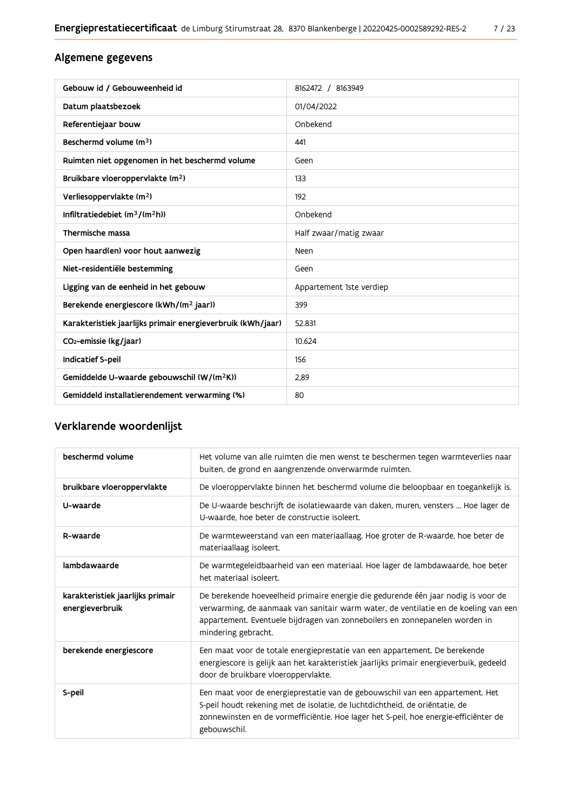### Algemene gegevens

| Gebouw id / Gebouweenheid id                                | 8162472 / 8163949        |
|-------------------------------------------------------------|--------------------------|
| Datum plaatsbezoek                                          | 01/04/2022               |
| Referentiejaar bouw                                         | Onbekend                 |
| Beschermd volume (m <sup>3</sup> )                          | 441                      |
| Ruimten niet opgenomen in het beschermd volume              | Geen                     |
| Bruikbare vloeroppervlakte (m <sup>2</sup> )                | 133                      |
| Verliesoppervlakte (m <sup>2</sup> )                        | 192                      |
| Infiltratiedebiet $(m^3/(m^2h))$                            | Onbekend                 |
| Thermische massa                                            | Half zwaar/matig zwaar   |
| Open haard(en) voor hout aanwezig                           | Neen                     |
| Niet-residentiële bestemming                                | Geen                     |
| Ligging van de eenheid in het gebouw                        | Appartement 1ste verdiep |
| Berekende energiescore (kWh/(m <sup>2</sup> jaar))          | 399                      |
| Karakteristiek jaarlijks primair energieverbruik (kWh/jaar) | 52.831                   |
| CO <sub>2</sub> -emissie (kg/jaar)                          | 10.624                   |
| Indicatief S-peil                                           | 156                      |
| Gemiddelde U-waarde gebouwschil (W/(m <sup>2</sup> K))      | 2,89                     |
| Gemiddeld installatierendement verwarming (%)               | 80                       |

### Verklarende woordenlijst

| beschermd volume                                    | Het volume van alle ruimten die men wenst te beschermen tegen warmteverlies naar<br>buiten, de grond en aangrenzende onverwarmde ruimten.                                                                                                                                      |
|-----------------------------------------------------|--------------------------------------------------------------------------------------------------------------------------------------------------------------------------------------------------------------------------------------------------------------------------------|
| bruikbare vloeroppervlakte                          | De vloeroppervlakte binnen het beschermd volume die beloopbaar en toegankelijk is.                                                                                                                                                                                             |
| U-waarde                                            | De U-waarde beschrijft de isolatiewaarde van daken, muren, vensters  Hoe lager de<br>U-waarde, hoe beter de constructie isoleert.                                                                                                                                              |
| R-waarde                                            | De warmteweerstand van een materiaallaag. Hoe groter de R-waarde, hoe beter de<br>materiaallaag isoleert.                                                                                                                                                                      |
| lambdawaarde                                        | De warmtegeleidbaarheid van een materiaal. Hoe lager de lambdawaarde, hoe beter<br>het materiaal isoleert.                                                                                                                                                                     |
| karakteristiek jaarlijks primair<br>energieverbruik | De berekende hoeveelheid primaire energie die gedurende één jaar nodig is voor de<br>verwarming, de aanmaak van sanitair warm water, de ventilatie en de koeling van een<br>appartement. Eventuele bijdragen van zonneboilers en zonnepanelen worden in<br>mindering gebracht. |
| berekende energiescore                              | Een maat voor de totale energieprestatie van een appartement. De berekende<br>energiescore is gelijk aan het karakteristiek jaarlijks primair energieverbuik, gedeeld<br>door de bruikbare vloeroppervlakte.                                                                   |
| S-peil                                              | Een maat voor de energieprestatie van de gebouwschil van een appartement. Het<br>S-peil houdt rekening met de isolatie, de luchtdichtheid, de oriëntatie, de<br>zonnewinsten en de vormefficiëntie. Hoe lager het S-peil, hoe energie-efficiënter de<br>gebouwschil.           |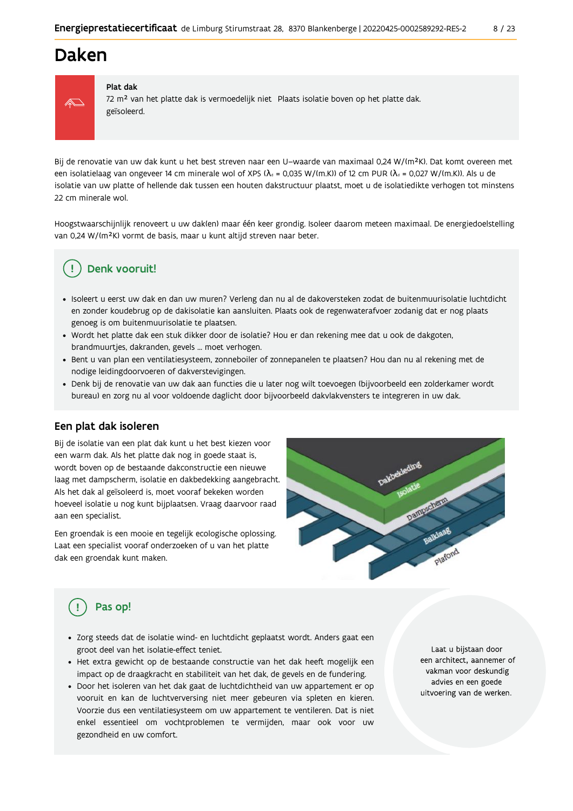## Daken



#### Plat dak

72 m<sup>2</sup> van het platte dak is vermoedelijk niet Plaats isolatie boven op het platte dak. geïsoleerd.

Bij de renovatie van uw dak kunt u het best streven naar een U-waarde van maximaal 0,24 W/(m<sup>2</sup>K). Dat komt overeen met een isolatielaag van ongeveer 14 cm minerale wol of XPS ( $\lambda_a$  = 0,035 W/(m.K)) of 12 cm PUR ( $\lambda_a$  = 0,027 W/(m.K)). Als u de isolatie van uw platte of hellende dak tussen een houten dakstructuur plaatst, moet u de isolatiedikte verhogen tot minstens 22 cm minerale wol.

Hoogstwaarschijnlijk renoveert u uw daklen) maar één keer grondig. Isoleer daarom meteen maximaal. De energiedoelstelling van 0,24 W/(m<sup>2</sup>K) vormt de basis, maar u kunt altijd streven naar beter.

### Denk vooruit!

- · Isoleert u eerst uw dak en dan uw muren? Verleng dan nu al de dakoversteken zodat de buitenmuurisolatie luchtdicht en zonder koudebrug op de dakisolatie kan aansluiten. Plaats ook de regenwaterafvoer zodanig dat er nog plaats genoeg is om buitenmuurisolatie te plaatsen.
- · Wordt het platte dak een stuk dikker door de isolatie? Hou er dan rekening mee dat u ook de dakgoten, brandmuurtjes, dakranden, gevels ... moet verhogen.
- Bent u van plan een ventilatiesysteem, zonneboiler of zonnepanelen te plaatsen? Hou dan nu al rekening met de nodige leidingdoorvoeren of dakverstevigingen.
- · Denk bij de renovatie van uw dak aan functies die u later nog wilt toevoegen (bijvoorbeeld een zolderkamer wordt bureau) en zorg nu al voor voldoende daglicht door bijvoorbeeld dakvlakvensters te integreren in uw dak.

#### Een plat dak isoleren

Bij de isolatie van een plat dak kunt u het best kiezen voor een warm dak. Als het platte dak nog in goede staat is, wordt boven op de bestaande dakconstructie een nieuwe laag met dampscherm, isolatie en dakbedekking aangebracht. Als het dak al geïsoleerd is, moet vooraf bekeken worden hoeveel isolatie u nog kunt bijplaatsen. Vraag daarvoor raad aan een specialist.

Een groendak is een mooie en tegelijk ecologische oplossing. Laat een specialist vooraf onderzoeken of u van het platte dak een groendak kunt maken.



### Pas op!

- · Zorg steeds dat de isolatie wind- en luchtdicht geplaatst wordt. Anders gaat een groot deel van het isolatie-effect teniet.
- · Het extra gewicht op de bestaande constructie van het dak heeft mogelijk een impact op de draagkracht en stabiliteit van het dak, de gevels en de fundering.
- · Door het isoleren van het dak gaat de luchtdichtheid van uw appartement er op vooruit en kan de luchtverversing niet meer gebeuren via spleten en kieren. Voorzie dus een ventilatiesysteem om uw appartement te ventileren. Dat is niet enkel essentieel om vochtproblemen te vermijden, maar ook voor uw gezondheid en uw comfort.

Laat u bijstaan door een architect, aannemer of vakman voor deskundig advies en een goede uitvoering van de werken.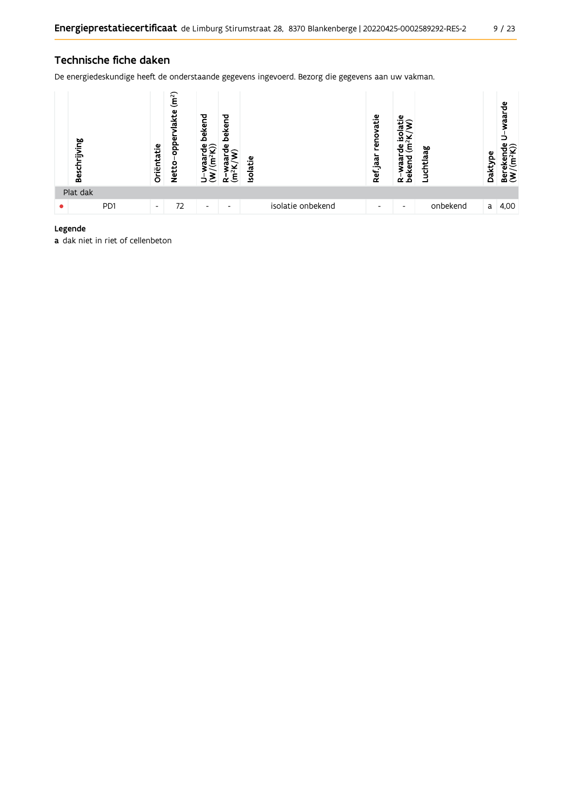#### Technische fiche daken

De energiedeskundige heeft de onderstaande gegevens ingevoerd. Bezorg die gegevens aan uw vakman.



#### Legende

a dak niet in riet of cellenbeton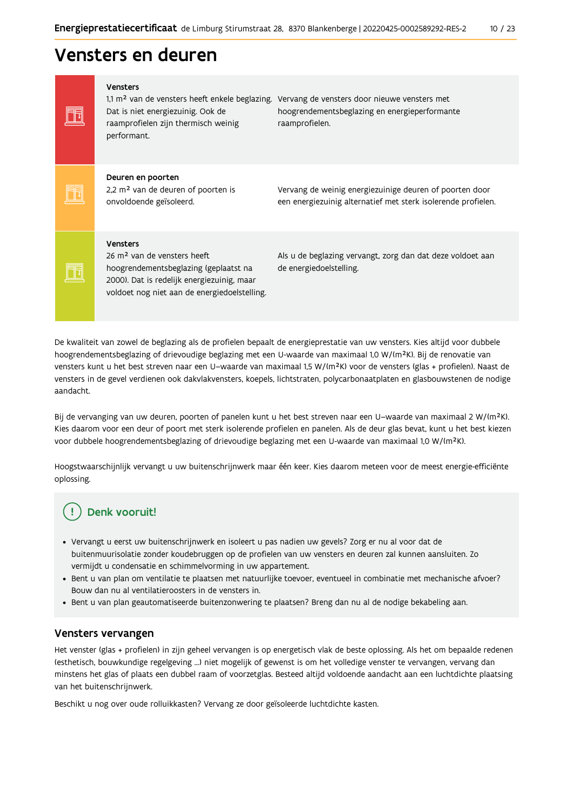## Vensters en deuren

| <b>Vensters</b><br>1,1 m <sup>2</sup> van de vensters heeft enkele beglazing.<br>Dat is niet energiezuinig. Ook de<br>raamprofielen zijn thermisch weinig<br>performant.                          | Vervang de vensters door nieuwe vensters met<br>hoogrendementsbeglazing en energieperformante<br>raamprofielen.          |
|---------------------------------------------------------------------------------------------------------------------------------------------------------------------------------------------------|--------------------------------------------------------------------------------------------------------------------------|
| Deuren en poorten<br>2,2 m <sup>2</sup> van de deuren of poorten is<br>onvoldoende geïsoleerd.                                                                                                    | Vervang de weinig energiezuinige deuren of poorten door<br>een energiezuinig alternatief met sterk isolerende profielen. |
| <b>Vensters</b><br>26 m <sup>2</sup> van de vensters heeft<br>hoogrendementsbeglazing (geplaatst na<br>2000). Dat is redelijk energiezuinig, maar<br>voldoet nog niet aan de energiedoelstelling. | Als u de beglazing vervangt, zorg dan dat deze voldoet aan<br>de energiedoelstelling.                                    |

De kwaliteit van zowel de beglazing als de profielen bepaalt de energieprestatie van uw vensters. Kies altijd voor dubbele hoogrendementsbeglazing of drievoudige beglazing met een U-waarde van maximaal 1,0 W/(m<sup>2</sup>K). Bij de renovatie van vensters kunt u het best streven naar een U-waarde van maximaal 1,5 W/(m<sup>2</sup>K) voor de vensters (glas + profielen). Naast de vensters in de gevel verdienen ook dakvlakvensters, koepels, lichtstraten, polycarbonaatplaten en glasbouwstenen de nodige aandacht.

Bij de vervanging van uw deuren, poorten of panelen kunt u het best streven naar een U-waarde van maximaal 2 W/(m<sup>2</sup>K). Kies daarom voor een deur of poort met sterk isolerende profielen en panelen. Als de deur glas bevat, kunt u het best kiezen voor dubbele hoogrendementsbeglazing of drievoudige beglazing met een U-waarde van maximaal 1,0 W/(m<sup>2</sup>K).

Hoogstwaarschijnlijk vervangt u uw buitenschrijnwerk maar één keer. Kies daarom meteen voor de meest energie-efficiënte oplossing.

### Denk vooruit!

- · Vervangt u eerst uw buitenschrijnwerk en isoleert u pas nadien uw gevels? Zorg er nu al voor dat de buitenmuurisolatie zonder koudebruggen op de profielen van uw vensters en deuren zal kunnen aansluiten. Zo vermijdt u condensatie en schimmelvorming in uw appartement.
- Bent u van plan om ventilatie te plaatsen met natuurlijke toevoer, eventueel in combinatie met mechanische afvoer? Bouw dan nu al ventilatieroosters in de vensters in.
- · Bent u van plan geautomatiseerde buitenzonwering te plaatsen? Breng dan nu al de nodige bekabeling aan.

#### Vensters vervangen

Het venster (glas + profielen) in zijn geheel vervangen is op energetisch vlak de beste oplossing. Als het om bepaalde redenen (esthetisch, bouwkundige regelgeving ...) niet mogelijk of gewenst is om het volledige venster te vervangen, vervang dan minstens het glas of plaats een dubbel raam of voorzetglas. Besteed altijd voldoende aandacht aan een luchtdichte plaatsing van het buitenschrijnwerk.

Beschikt u nog over oude rolluikkasten? Vervang ze door geïsoleerde luchtdichte kasten.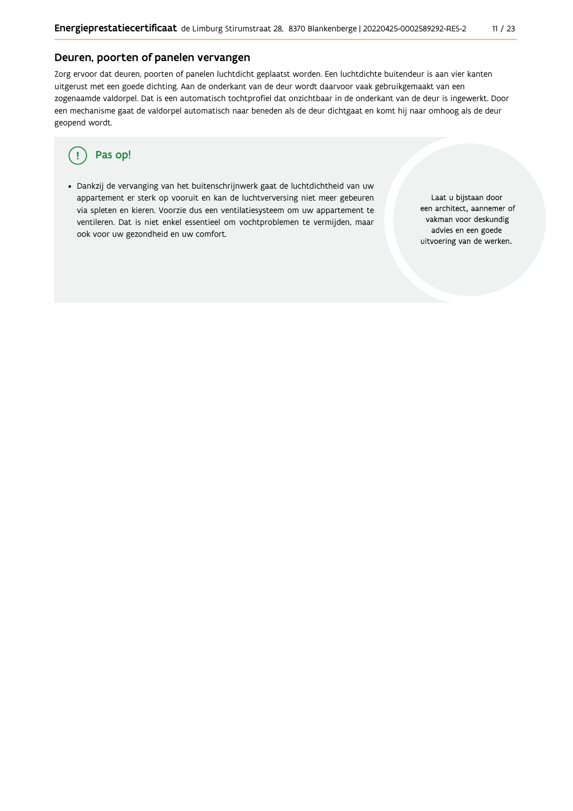### Deuren, poorten of panelen vervangen

Zorg ervoor dat deuren, poorten of panelen luchtdicht geplaatst worden. Een luchtdichte buitendeur is aan vier kanten uitgerust met een goede dichting. Aan de onderkant van de deur wordt daarvoor vaak gebruikgemaakt van een zogenaamde valdorpel. Dat is een automatisch tochtprofiel dat onzichtbaar in de onderkant van de deur is ingewerkt. Door een mechanisme gaat de valdorpel automatisch naar beneden als de deur dichtgaat en komt hij naar omhoog als de deur geopend wordt.

#### Pas op! ( !

· Dankzij de vervanging van het buitenschrijnwerk gaat de luchtdichtheid van uw appartement er sterk op vooruit en kan de luchtverversing niet meer gebeuren via spleten en kieren. Voorzie dus een ventilatiesysteem om uw appartement te ventileren. Dat is niet enkel essentieel om vochtproblemen te vermijden, maar ook voor uw gezondheid en uw comfort.

Laat u bijstaan door een architect, aannemer of vakman voor deskundig advies en een goede uitvoering van de werken.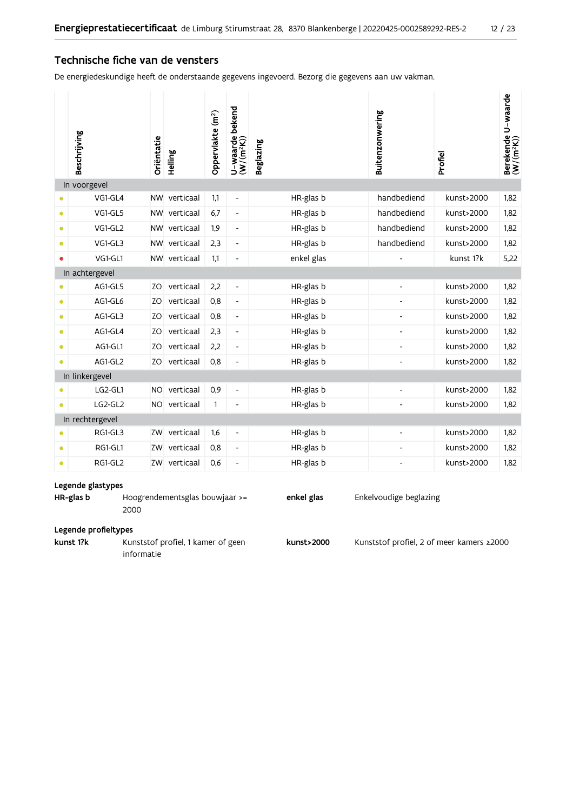#### Technische fiche van de vensters

De energiedeskundige heeft de onderstaande gegevens ingevoerd. Bezorg die gegevens aan uw vakman.

| In voorgevel<br>NW verticaal<br>handbediend<br>1,82<br>VG1-GL4<br>1,1<br>HR-glas b<br>kunst>2000<br>$\overline{\phantom{a}}$<br>verticaal<br>handbediend<br>1,82<br>VG1-GL5<br>6,7<br>HR-glas b<br>kunst>2000<br><b>NW</b><br>$\bullet$<br>$\overline{\phantom{a}}$<br>handbediend<br>1,82<br>VG1-GL2<br>verticaal<br>1,9<br>HR-glas b<br><b>NW</b><br>kunst>2000<br>$\bullet$<br>$\overline{\phantom{a}}$<br>handbediend<br>VG1-GL3<br>verticaal<br>HR-glas b<br>1,82<br><b>NW</b><br>2,3<br>kunst>2000<br>$\bullet$<br>$\overline{\phantom{a}}$<br>VG1-GL1<br>5,22<br>NW verticaal<br>1,1<br>enkel glas<br>kunst 1?k<br>$\bullet$<br>$\overline{\phantom{a}}$<br>In achtergevel<br>1,82<br>AG1-GL5<br>verticaal<br>2,2<br>HR-glas b<br>kunst>2000<br>ZO<br>$\overline{\phantom{a}}$<br>$\bullet$<br>verticaal<br>1,82<br>AG1-GL6<br>HR-glas b<br>kunst>2000<br>ZO<br>0,8<br>$\bullet$<br>$\overline{\phantom{a}}$<br>$\overline{a}$<br>verticaal<br>1,82<br>AG1-GL3<br>ZO<br>0,8<br>HR-glas b<br>kunst>2000<br>$\overline{\phantom{a}}$<br>$\bullet$<br>$\overline{\phantom{a}}$<br>AG1-GL4<br>1,82<br>ZO<br>verticaal<br>2,3<br>HR-glas b<br>kunst>2000<br>$\overline{\phantom{a}}$<br>$\bullet$<br>$\overline{\phantom{a}}$<br>1,82<br>AG1-GL1<br>verticaal<br>2,2<br>HR-glas b<br>kunst>2000<br>ZO<br>$\bullet$<br>$\overline{\phantom{a}}$<br>$\overline{\phantom{a}}$<br>AG1-GL2<br>verticaal<br>HR-glas b<br>kunst>2000<br>1,82<br>ZO<br>0,8<br>$\overline{\phantom{a}}$<br>$\bullet$<br>÷,<br>In linkergevel<br>verticaal<br>HR-glas b<br>LG2-GL1<br>0,9<br>kunst>2000<br>1,82<br><b>NO</b><br>$\overline{\phantom{a}}$<br>LG2-GL2<br>NO verticaal<br>HR-glas b<br>1.82<br>$\mathbf{1}$<br>kunst>2000<br>$\bullet$<br>$\overline{\phantom{a}}$<br>$\overline{\phantom{a}}$<br>In rechtergevel<br>RG1-GL3<br>verticaal<br>HR-glas b<br>kunst>2000<br>1,82<br>ZW<br>1,6<br>$\overline{\phantom{a}}$<br>RG1-GL1<br>verticaal<br>1,82<br>0,8<br>HR-glas b<br>kunst>2000<br>ZW<br>$\blacksquare$<br>$\bullet$<br>ZW<br>$\bullet$<br>$\overline{\phantom{a}}$ | Beschrijving | Oriëntatie | Helling   | Oppervlakte (m <sup>2</sup> ) | bekend<br>U-waarde l<br>(W/(m <sup>2</sup> K)) | <b>Beglazing</b> | Buitenzonwering | Profiel    | Berekende U-waarde<br>(W/(m <sup>2</sup> K)) |
|------------------------------------------------------------------------------------------------------------------------------------------------------------------------------------------------------------------------------------------------------------------------------------------------------------------------------------------------------------------------------------------------------------------------------------------------------------------------------------------------------------------------------------------------------------------------------------------------------------------------------------------------------------------------------------------------------------------------------------------------------------------------------------------------------------------------------------------------------------------------------------------------------------------------------------------------------------------------------------------------------------------------------------------------------------------------------------------------------------------------------------------------------------------------------------------------------------------------------------------------------------------------------------------------------------------------------------------------------------------------------------------------------------------------------------------------------------------------------------------------------------------------------------------------------------------------------------------------------------------------------------------------------------------------------------------------------------------------------------------------------------------------------------------------------------------------------------------------------------------------------------------------------------------------------------------------------------------------------------------------------------------------------------------------------------------|--------------|------------|-----------|-------------------------------|------------------------------------------------|------------------|-----------------|------------|----------------------------------------------|
|                                                                                                                                                                                                                                                                                                                                                                                                                                                                                                                                                                                                                                                                                                                                                                                                                                                                                                                                                                                                                                                                                                                                                                                                                                                                                                                                                                                                                                                                                                                                                                                                                                                                                                                                                                                                                                                                                                                                                                                                                                                                  |              |            |           |                               |                                                |                  |                 |            |                                              |
|                                                                                                                                                                                                                                                                                                                                                                                                                                                                                                                                                                                                                                                                                                                                                                                                                                                                                                                                                                                                                                                                                                                                                                                                                                                                                                                                                                                                                                                                                                                                                                                                                                                                                                                                                                                                                                                                                                                                                                                                                                                                  |              |            |           |                               |                                                |                  |                 |            |                                              |
|                                                                                                                                                                                                                                                                                                                                                                                                                                                                                                                                                                                                                                                                                                                                                                                                                                                                                                                                                                                                                                                                                                                                                                                                                                                                                                                                                                                                                                                                                                                                                                                                                                                                                                                                                                                                                                                                                                                                                                                                                                                                  |              |            |           |                               |                                                |                  |                 |            |                                              |
|                                                                                                                                                                                                                                                                                                                                                                                                                                                                                                                                                                                                                                                                                                                                                                                                                                                                                                                                                                                                                                                                                                                                                                                                                                                                                                                                                                                                                                                                                                                                                                                                                                                                                                                                                                                                                                                                                                                                                                                                                                                                  |              |            |           |                               |                                                |                  |                 |            |                                              |
|                                                                                                                                                                                                                                                                                                                                                                                                                                                                                                                                                                                                                                                                                                                                                                                                                                                                                                                                                                                                                                                                                                                                                                                                                                                                                                                                                                                                                                                                                                                                                                                                                                                                                                                                                                                                                                                                                                                                                                                                                                                                  |              |            |           |                               |                                                |                  |                 |            |                                              |
|                                                                                                                                                                                                                                                                                                                                                                                                                                                                                                                                                                                                                                                                                                                                                                                                                                                                                                                                                                                                                                                                                                                                                                                                                                                                                                                                                                                                                                                                                                                                                                                                                                                                                                                                                                                                                                                                                                                                                                                                                                                                  |              |            |           |                               |                                                |                  |                 |            |                                              |
|                                                                                                                                                                                                                                                                                                                                                                                                                                                                                                                                                                                                                                                                                                                                                                                                                                                                                                                                                                                                                                                                                                                                                                                                                                                                                                                                                                                                                                                                                                                                                                                                                                                                                                                                                                                                                                                                                                                                                                                                                                                                  |              |            |           |                               |                                                |                  |                 |            |                                              |
|                                                                                                                                                                                                                                                                                                                                                                                                                                                                                                                                                                                                                                                                                                                                                                                                                                                                                                                                                                                                                                                                                                                                                                                                                                                                                                                                                                                                                                                                                                                                                                                                                                                                                                                                                                                                                                                                                                                                                                                                                                                                  |              |            |           |                               |                                                |                  |                 |            |                                              |
|                                                                                                                                                                                                                                                                                                                                                                                                                                                                                                                                                                                                                                                                                                                                                                                                                                                                                                                                                                                                                                                                                                                                                                                                                                                                                                                                                                                                                                                                                                                                                                                                                                                                                                                                                                                                                                                                                                                                                                                                                                                                  |              |            |           |                               |                                                |                  |                 |            |                                              |
|                                                                                                                                                                                                                                                                                                                                                                                                                                                                                                                                                                                                                                                                                                                                                                                                                                                                                                                                                                                                                                                                                                                                                                                                                                                                                                                                                                                                                                                                                                                                                                                                                                                                                                                                                                                                                                                                                                                                                                                                                                                                  |              |            |           |                               |                                                |                  |                 |            |                                              |
|                                                                                                                                                                                                                                                                                                                                                                                                                                                                                                                                                                                                                                                                                                                                                                                                                                                                                                                                                                                                                                                                                                                                                                                                                                                                                                                                                                                                                                                                                                                                                                                                                                                                                                                                                                                                                                                                                                                                                                                                                                                                  |              |            |           |                               |                                                |                  |                 |            |                                              |
|                                                                                                                                                                                                                                                                                                                                                                                                                                                                                                                                                                                                                                                                                                                                                                                                                                                                                                                                                                                                                                                                                                                                                                                                                                                                                                                                                                                                                                                                                                                                                                                                                                                                                                                                                                                                                                                                                                                                                                                                                                                                  |              |            |           |                               |                                                |                  |                 |            |                                              |
|                                                                                                                                                                                                                                                                                                                                                                                                                                                                                                                                                                                                                                                                                                                                                                                                                                                                                                                                                                                                                                                                                                                                                                                                                                                                                                                                                                                                                                                                                                                                                                                                                                                                                                                                                                                                                                                                                                                                                                                                                                                                  |              |            |           |                               |                                                |                  |                 |            |                                              |
|                                                                                                                                                                                                                                                                                                                                                                                                                                                                                                                                                                                                                                                                                                                                                                                                                                                                                                                                                                                                                                                                                                                                                                                                                                                                                                                                                                                                                                                                                                                                                                                                                                                                                                                                                                                                                                                                                                                                                                                                                                                                  |              |            |           |                               |                                                |                  |                 |            |                                              |
|                                                                                                                                                                                                                                                                                                                                                                                                                                                                                                                                                                                                                                                                                                                                                                                                                                                                                                                                                                                                                                                                                                                                                                                                                                                                                                                                                                                                                                                                                                                                                                                                                                                                                                                                                                                                                                                                                                                                                                                                                                                                  |              |            |           |                               |                                                |                  |                 |            |                                              |
|                                                                                                                                                                                                                                                                                                                                                                                                                                                                                                                                                                                                                                                                                                                                                                                                                                                                                                                                                                                                                                                                                                                                                                                                                                                                                                                                                                                                                                                                                                                                                                                                                                                                                                                                                                                                                                                                                                                                                                                                                                                                  |              |            |           |                               |                                                |                  |                 |            |                                              |
|                                                                                                                                                                                                                                                                                                                                                                                                                                                                                                                                                                                                                                                                                                                                                                                                                                                                                                                                                                                                                                                                                                                                                                                                                                                                                                                                                                                                                                                                                                                                                                                                                                                                                                                                                                                                                                                                                                                                                                                                                                                                  |              |            |           |                               |                                                |                  |                 |            |                                              |
|                                                                                                                                                                                                                                                                                                                                                                                                                                                                                                                                                                                                                                                                                                                                                                                                                                                                                                                                                                                                                                                                                                                                                                                                                                                                                                                                                                                                                                                                                                                                                                                                                                                                                                                                                                                                                                                                                                                                                                                                                                                                  |              |            |           |                               |                                                |                  |                 |            |                                              |
|                                                                                                                                                                                                                                                                                                                                                                                                                                                                                                                                                                                                                                                                                                                                                                                                                                                                                                                                                                                                                                                                                                                                                                                                                                                                                                                                                                                                                                                                                                                                                                                                                                                                                                                                                                                                                                                                                                                                                                                                                                                                  |              |            |           |                               |                                                |                  |                 |            |                                              |
|                                                                                                                                                                                                                                                                                                                                                                                                                                                                                                                                                                                                                                                                                                                                                                                                                                                                                                                                                                                                                                                                                                                                                                                                                                                                                                                                                                                                                                                                                                                                                                                                                                                                                                                                                                                                                                                                                                                                                                                                                                                                  | RG1-GL2      |            | verticaal | 0,6                           |                                                | HR-glas b        |                 | kunst>2000 | 1,82                                         |

#### Legende glastypes

| HR-glas b            | Hoogrendementsglas bouwjaar $\ge$ = | enkel glas | Enkelvoudige beglazing |
|----------------------|-------------------------------------|------------|------------------------|
|                      | 2000                                |            |                        |
| Legende profieltypes |                                     |            |                        |

kunst 1?k Kunststof profiel, 1 kamer of geen kunst>2000 Kunststof profiel, 2 of meer kamers ≥2000 informatie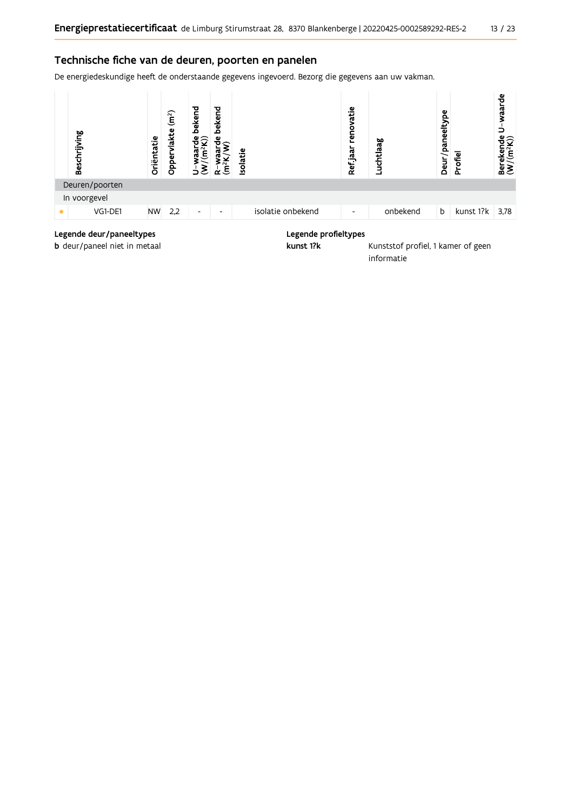#### Technische fiche van de deuren, poorten en panelen

De energiedeskundige heeft de onderstaande gegevens ingevoerd. Bezorg die gegevens aan uw vakman.



#### Legende deur/paneeltypes

b deur/paneel niet in metaal

#### Legende profieltypes

kunst 1?k

Kunststof profiel, 1 kamer of geen informatie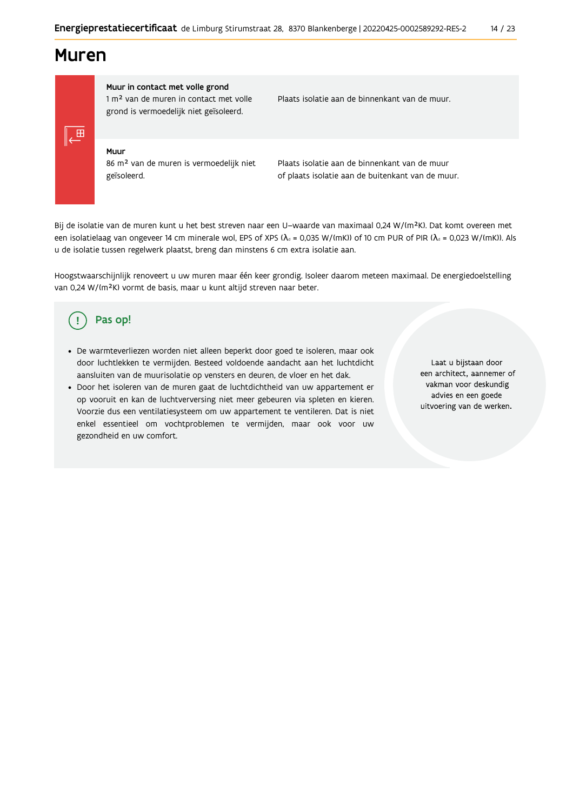### **Muren**

Muur in contact met volle grond 1 m<sup>2</sup> van de muren in contact met volle grond is vermoedelijk niet geïsoleerd.

Plaats isolatie aan de binnenkant van de muur.

Muur 86 m<sup>2</sup> van de muren is vermoedelijk niet geïsoleerd.

Plaats isolatie aan de binnenkant van de muur of plaats isolatie aan de buitenkant van de muur.

Bij de isolatie van de muren kunt u het best streven naar een U-waarde van maximaal 0,24 W/(m<sup>2</sup>K). Dat komt overeen met een isolatielaag van ongeveer 14 cm minerale wol, EPS of XPS ( $\lambda_a$  = 0,035 W/(mK)) of 10 cm PUR of PIR ( $\lambda_a$  = 0,023 W/(mK)). Als u de isolatie tussen regelwerk plaatst, breng dan minstens 6 cm extra isolatie aan.

Hoogstwaarschijnlijk renoveert u uw muren maar één keer grondig. Isoleer daarom meteen maximaal. De energiedoelstelling van 0,24 W/(m<sup>2</sup>K) vormt de basis, maar u kunt altijd streven naar beter.

#### Pas op! (!

- De warmteverliezen worden niet alleen beperkt door goed te isoleren, maar ook door luchtlekken te vermijden. Besteed voldoende aandacht aan het luchtdicht aansluiten van de muurisolatie op vensters en deuren, de vloer en het dak.
- · Door het isoleren van de muren gaat de luchtdichtheid van uw appartement er op vooruit en kan de luchtverversing niet meer gebeuren via spleten en kieren. Voorzie dus een ventilatiesysteem om uw appartement te ventileren. Dat is niet enkel essentieel om vochtproblemen te vermijden, maar ook voor uw gezondheid en uw comfort.

Laat u bijstaan door een architect, aannemer of vakman voor deskundig advies en een goede uitvoering van de werken.

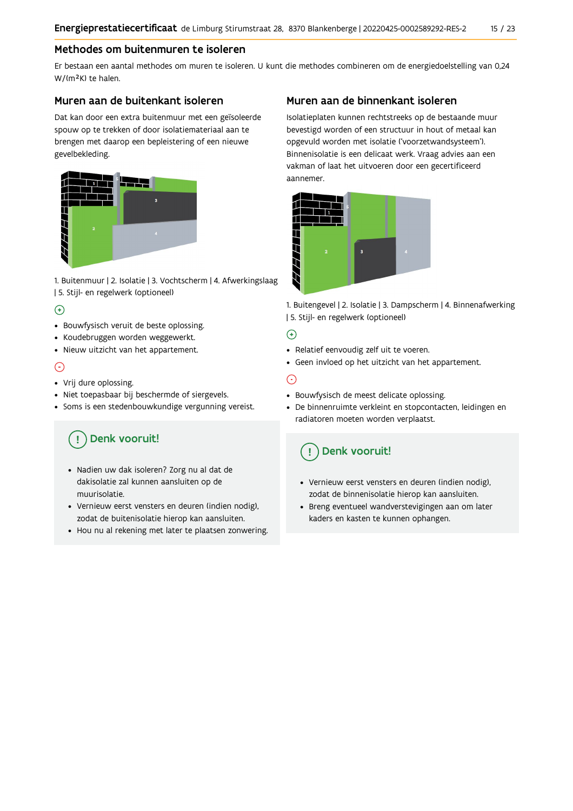#### Methodes om buitenmuren te isoleren

Er bestaan een aantal methodes om muren te isoleren. U kunt die methodes combineren om de energiedoelstelling van 0,24 W/(m<sup>2</sup>K) te halen.

#### Muren aan de buitenkant isoleren

Dat kan door een extra buitenmuur met een geïsoleerde spouw op te trekken of door isolatiemateriaal aan te brengen met daarop een bepleistering of een nieuwe gevelbekleding.



1. Buitenmuur | 2. Isolatie | 3. Vochtscherm | 4. Afwerkingslaag | 5. Stijl- en regelwerk (optioneel)

#### $\Theta$

- Bouwfysisch veruit de beste oplossing.
- Koudebruggen worden weggewerkt.
- · Nieuw uitzicht van het appartement.

#### $\odot$

- Vrij dure oplossing.
- · Niet toepasbaar bij beschermde of siergevels.
- Soms is een stedenbouwkundige vergunning vereist.

## Denk vooruit!

- · Nadien uw dak isoleren? Zorg nu al dat de dakisolatie zal kunnen aansluiten op de muurisolatie.
- · Vernieuw eerst vensters en deuren (indien nodig), zodat de buitenisolatie hierop kan aansluiten.
- Hou nu al rekening met later te plaatsen zonwering.

### Muren aan de binnenkant isoleren

Isolatieplaten kunnen rechtstreeks op de bestaande muur bevestigd worden of een structuur in hout of metaal kan opgevuld worden met isolatie ('voorzetwandsysteem'). Binnenisolatie is een delicaat werk. Vraag advies aan een vakman of laat het uitvoeren door een gecertificeerd aannemer



1. Buitengevel | 2. Isolatie | 3. Dampscherm | 4. Binnenafwerking | 5. Stijl- en regelwerk (optioneel)

### $\bigoplus$

- Relatief eenvoudig zelf uit te voeren.
- Geen invloed op het uitzicht van het appartement.

### ⊝

- Bouwfysisch de meest delicate oplossing.
- · De binnenruimte verkleint en stopcontacten, leidingen en radiatoren moeten worden verplaatst.

### Denk vooruit!

- Vernieuw eerst vensters en deuren (indien nodig), zodat de binnenisolatie hierop kan aansluiten.
- · Breng eventueel wandverstevigingen aan om later kaders en kasten te kunnen ophangen.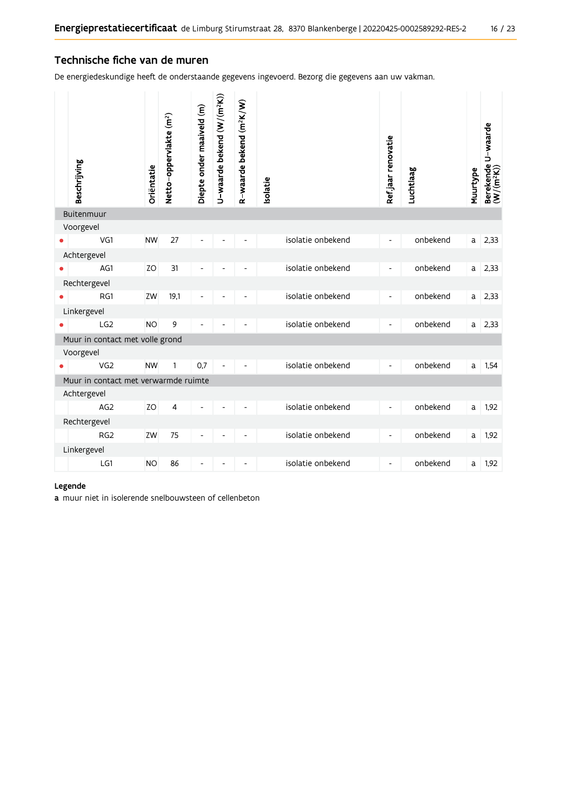#### Technische fiche van de muren

De energiedeskundige heeft de onderstaande gegevens ingevoerd. Bezorg die gegevens aan uw vakman.

|                                      | Beschrijving                    | Oriëntatie | Netto-oppervlakte (m <sup>2</sup> ) | Diepte onder maaiveld (m) | U-waarde bekend (W/(m <sup>2</sup> K)) | R-waarde bekend (m <sup>2</sup> K/W) | solatie |                   | Ref.jaar renovatie           | Luchtlaag | Muurtype | Berekende U-waarde<br>(W/(m <sup>2</sup> K)) |
|--------------------------------------|---------------------------------|------------|-------------------------------------|---------------------------|----------------------------------------|--------------------------------------|---------|-------------------|------------------------------|-----------|----------|----------------------------------------------|
|                                      | Buitenmuur                      |            |                                     |                           |                                        |                                      |         |                   |                              |           |          |                                              |
|                                      | Voorgevel                       |            |                                     |                           |                                        |                                      |         |                   |                              |           |          |                                              |
|                                      | VG1                             | <b>NW</b>  | 27                                  |                           |                                        |                                      |         | isolatie onbekend | $\qquad \qquad \blacksquare$ | onbekend  | a l      | 2,33                                         |
|                                      | Achtergevel                     |            |                                     |                           |                                        |                                      |         |                   |                              |           |          |                                              |
|                                      | AG1                             | <b>ZO</b>  | 31                                  |                           |                                        |                                      |         | isolatie onbekend | $\overline{a}$               | onbekend  | a        | 2,33                                         |
|                                      | Rechtergevel                    |            |                                     |                           |                                        |                                      |         |                   |                              |           |          |                                              |
|                                      | RG1                             | ZW         | 19,1                                |                           |                                        |                                      |         | isolatie onbekend | $\overline{\phantom{0}}$     | onbekend  | a        | 2,33                                         |
|                                      | Linkergevel                     |            |                                     |                           |                                        |                                      |         |                   |                              |           |          |                                              |
|                                      | LG <sub>2</sub>                 | <b>NO</b>  | 9                                   |                           |                                        |                                      |         | isolatie onbekend | $\qquad \qquad \blacksquare$ | onbekend  | a        | 2,33                                         |
|                                      | Muur in contact met volle grond |            |                                     |                           |                                        |                                      |         |                   |                              |           |          |                                              |
|                                      | Voorgevel                       |            |                                     |                           |                                        |                                      |         |                   |                              |           |          |                                              |
|                                      | VG <sub>2</sub>                 | <b>NW</b>  | 1                                   | 0,7                       |                                        |                                      |         | isolatie onbekend | $\qquad \qquad \blacksquare$ | onbekend  | a        | 1,54                                         |
| Muur in contact met verwarmde ruimte |                                 |            |                                     |                           |                                        |                                      |         |                   |                              |           |          |                                              |
|                                      | Achtergevel                     |            |                                     |                           |                                        |                                      |         |                   |                              |           |          |                                              |
|                                      | AG <sub>2</sub>                 | ZO         | 4                                   | L,                        |                                        |                                      |         | isolatie onbekend | $\qquad \qquad \blacksquare$ | onbekend  | a        | 1,92                                         |
|                                      | Rechtergevel                    |            |                                     |                           |                                        |                                      |         |                   |                              |           |          |                                              |
|                                      | RG <sub>2</sub>                 | ZW         | 75                                  |                           |                                        |                                      |         | isolatie onbekend | $\frac{1}{2}$                | onbekend  | a        | 1,92                                         |
|                                      | Linkergevel                     |            |                                     |                           |                                        |                                      |         |                   |                              |           |          |                                              |
|                                      | LG1                             | <b>NO</b>  | 86                                  | Ĭ.                        |                                        |                                      |         | isolatie onbekend | $\overline{\phantom{a}}$     | onbekend  | a        | 1,92                                         |

#### Legende

a muur niet in isolerende snelbouwsteen of cellenbeton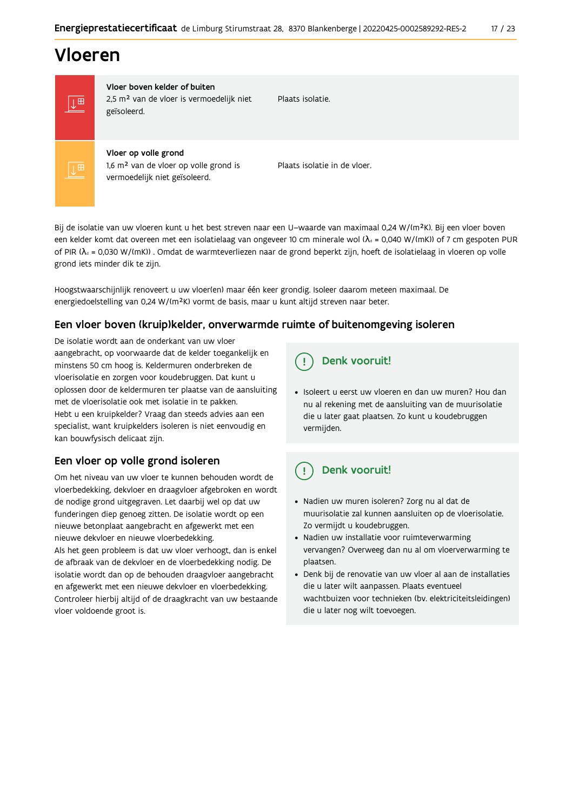## Vloeren



Vloer boven kelder of buiten 2,5 m<sup>2</sup> van de vloer is vermoedelijk niet geïsoleerd.

Plaats isolatie

Vloer op volle grond 1,6 m<sup>2</sup> van de vloer op volle grond is vermoedelijk niet geïsoleerd.

Plaats isolatie in de vloer.

Bij de isolatie van uw vloeren kunt u het best streven naar een U-waarde van maximaal 0,24 W/(m<sup>2</sup>K). Bij een vloer boven een kelder komt dat overeen met een isolatielaag van ongeveer 10 cm minerale wol ( $\lambda_d$  = 0,040 W/(mK)) of 7 cm gespoten PUR of PIR ( $\lambda_4$  = 0,030 W/(mK)). Omdat de warmteverliezen naar de grond beperkt zijn, hoeft de isolatielaag in vloeren op volle grond iets minder dik te zijn.

Hoogstwaarschijnlijk renoveert u uw vloer(en) maar één keer grondig. Isoleer daarom meteen maximaal. De energiedoelstelling van 0,24 W/(m<sup>2</sup>K) vormt de basis, maar u kunt altijd streven naar beter.

#### Een vloer boven (kruip) kelder, onverwarmde ruimte of buitenomgeving isoleren

De isolatie wordt aan de onderkant van uw vloer aangebracht, op voorwaarde dat de kelder toegankelijk en minstens 50 cm hoog is. Keldermuren onderbreken de vloerisolatie en zorgen voor koudebruggen. Dat kunt u oplossen door de keldermuren ter plaatse van de aansluiting met de vloerisolatie ook met isolatie in te pakken. Hebt u een kruipkelder? Vraag dan steeds advies aan een specialist, want kruipkelders isoleren is niet eenvoudig en kan bouwfysisch delicaat zijn.

### Een vloer op volle grond isoleren

Om het niveau van uw vloer te kunnen behouden wordt de vloerbedekking, dekvloer en draagvloer afgebroken en wordt de nodige grond uitgegraven. Let daarbij wel op dat uw funderingen diep genoeg zitten. De isolatie wordt op een nieuwe betonplaat aangebracht en afgewerkt met een nieuwe dekvloer en nieuwe vloerbedekking.

Als het geen probleem is dat uw vloer verhoogt, dan is enkel de afbraak van de dekvloer en de vloerbedekking nodig. De isolatie wordt dan op de behouden draagvloer aangebracht en afgewerkt met een nieuwe dekvloer en vloerbedekking. Controleer hierbij altijd of de draagkracht van uw bestaande vloer voldoende groot is.

#### Denk vooruit! Ţ

· Isoleert u eerst uw vloeren en dan uw muren? Hou dan nu al rekening met de aansluiting van de muurisolatie die u later gaat plaatsen. Zo kunt u koudebruggen vermijden.

#### Denk vooruit! q

- · Nadien uw muren isoleren? Zorg nu al dat de muurisolatie zal kunnen aansluiten op de vloerisolatie. Zo vermijdt u koudebruggen.
- Nadien uw installatie voor ruimteverwarming vervangen? Overweeg dan nu al om vloerverwarming te plaatsen.
- · Denk bij de renovatie van uw vloer al aan de installaties die u later wilt aanpassen. Plaats eventueel wachtbuizen voor technieken (bv. elektriciteitsleidingen) die u later nog wilt toevoegen.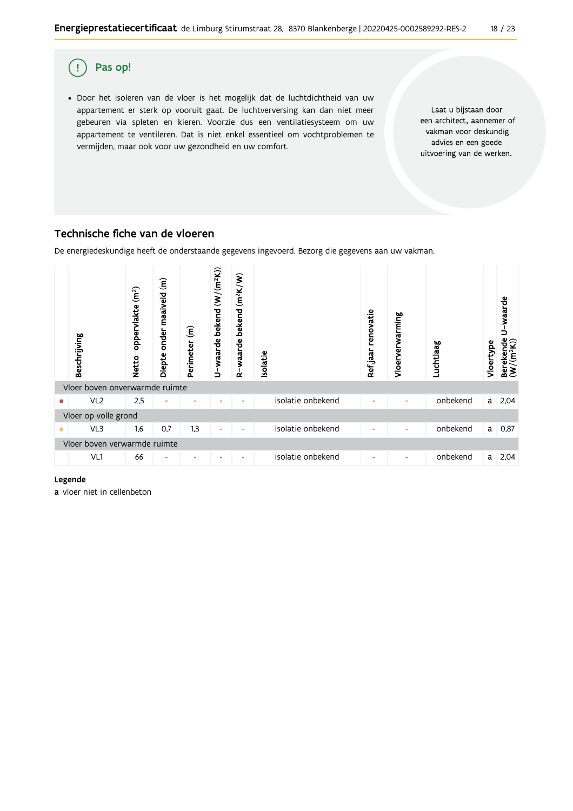

### Technische fiche van de vloeren

De energiedeskundige heeft de onderstaande gegevens ingevoerd. Bezorg die gegevens aan uw vakman.



#### Legende

a vloer niet in cellenbeton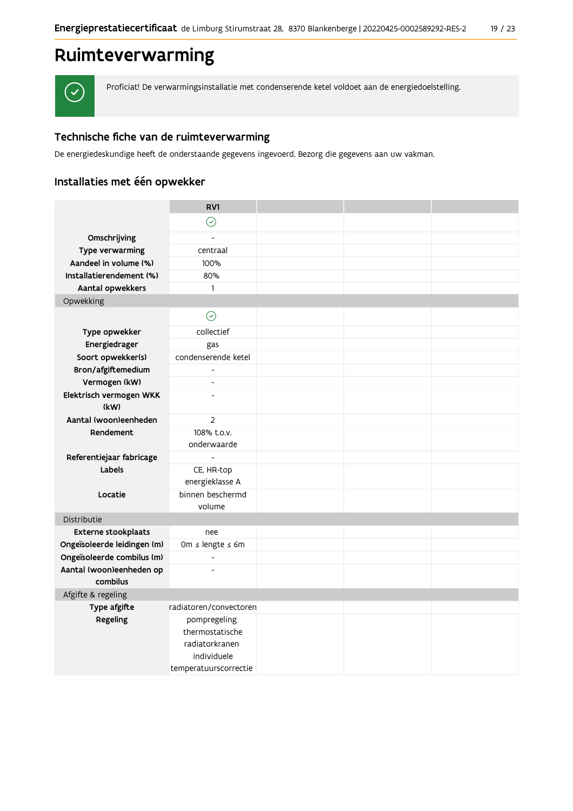## Ruimteverwarming



Proficiat! De verwarmingsinstallatie met condenserende ketel voldoet aan de energiedoelstelling.

### Technische fiche van de ruimteverwarming

De energiedeskundige heeft de onderstaande gegevens ingevoerd. Bezorg die gegevens aan uw vakman.

### Installaties met één opwekker

|                                      | RV1                        |  |  |
|--------------------------------------|----------------------------|--|--|
|                                      | $\odot$                    |  |  |
| Omschrijving                         |                            |  |  |
| Type verwarming                      | centraal                   |  |  |
| Aandeel in volume (%)                | 100%                       |  |  |
| Installatierendement (%)             | 80%                        |  |  |
| Aantal opwekkers                     | $\mathbf{1}$               |  |  |
| Opwekking                            |                            |  |  |
|                                      | $\odot$                    |  |  |
| Type opwekker                        | collectief                 |  |  |
| Energiedrager                        | gas                        |  |  |
| Soort opwekker(s)                    | condenserende ketel        |  |  |
| Bron/afgiftemedium                   |                            |  |  |
| Vermogen (kW)                        | $\overline{\phantom{a}}$   |  |  |
| Elektrisch vermogen WKK              | $\overline{a}$             |  |  |
| (kW)                                 |                            |  |  |
| Aantal (woon)eenheden                | $\overline{2}$             |  |  |
| Rendement                            | 108% t.o.v.<br>onderwaarde |  |  |
| Referentiejaar fabricage             | $\blacksquare$             |  |  |
| Labels                               | CE, HR-top                 |  |  |
|                                      | energieklasse A            |  |  |
| Locatie                              | binnen beschermd           |  |  |
|                                      | volume                     |  |  |
| Distributie                          |                            |  |  |
| Externe stookplaats                  | nee                        |  |  |
| Ongeïsoleerde leidingen (m)          | Om ≤ lengte ≤ 6m           |  |  |
| Ongeïsoleerde combilus (m)           | $\frac{1}{2}$              |  |  |
| Aantal (woon)eenheden op<br>combilus | $\overline{a}$             |  |  |
| Afgifte & regeling                   |                            |  |  |
| Type afgifte                         | radiatoren/convectoren     |  |  |
| Regeling                             | pompregeling               |  |  |
|                                      | thermostatische            |  |  |
|                                      | radiatorkranen             |  |  |
|                                      | individuele                |  |  |
|                                      | temperatuurscorrectie      |  |  |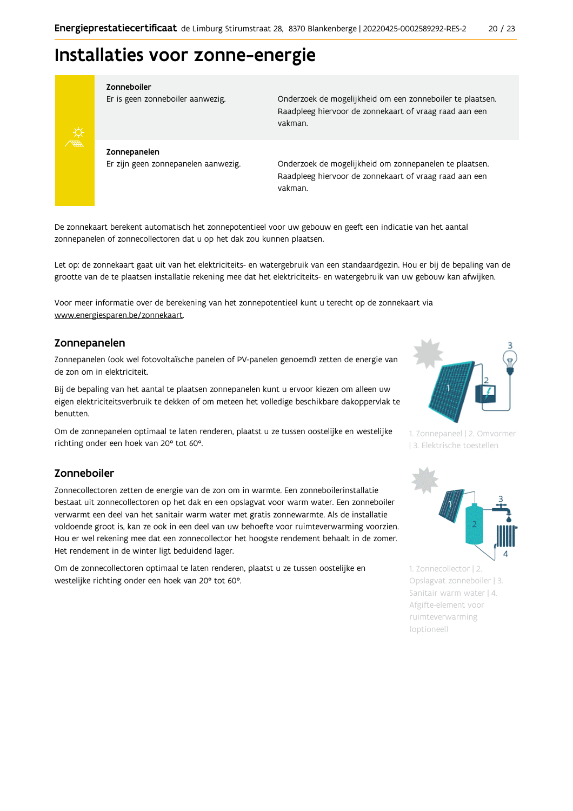## Installaties voor zonne-energie



#### Zonneboiler

Er is geen zonneboiler aanwezig.

Onderzoek de mogelijkheid om een zonneboiler te plaatsen. Raadpleeg hiervoor de zonnekaart of vraag raad aan een vakman.

Zonnepanelen Er zijn geen zonnepanelen aanwezig.

Onderzoek de mogelijkheid om zonnepanelen te plaatsen. Raadpleeg hiervoor de zonnekaart of vraag raad aan een vakman.

De zonnekaart berekent automatisch het zonnepotentieel voor uw gebouw en geeft een indicatie van het aantal zonnepanelen of zonnecollectoren dat u op het dak zou kunnen plaatsen.

Let op: de zonnekaart gaat uit van het elektriciteits- en watergebruik van een standaardgezin. Hou er bij de bepaling van de grootte van de te plaatsen installatie rekening mee dat het elektriciteits- en watergebruik van uw gebouw kan afwijken.

Voor meer informatie over de berekening van het zonnepotentieel kunt u terecht op de zonnekaart via www.energiesparen.be/zonnekaart.

#### Zonnepanelen

Zonnepanelen (ook wel fotovoltaïsche panelen of PV-panelen genoemd) zetten de energie van de zon om in elektriciteit.

Bij de bepaling van het aantal te plaatsen zonnepanelen kunt u ervoor kiezen om alleen uw eigen elektriciteitsverbruik te dekken of om meteen het volledige beschikbare dakoppervlak te benutten.

Om de zonnepanelen optimaal te laten renderen, plaatst u ze tussen oostelijke en westelijke richting onder een hoek van 20° tot 60°.

#### Zonneboiler

Zonnecollectoren zetten de energie van de zon om in warmte. Een zonneboilerinstallatie bestaat uit zonnecollectoren op het dak en een opslagvat voor warm water. Een zonneboiler verwarmt een deel van het sanitair warm water met gratis zonnewarmte. Als de installatie voldoende groot is, kan ze ook in een deel van uw behoefte voor ruimteverwarming voorzien. Hou er wel rekening mee dat een zonnecollector het hoogste rendement behaalt in de zomer. Het rendement in de winter ligt beduidend lager.

Om de zonnecollectoren optimaal te laten renderen, plaatst u ze tussen oostelijke en westelijke richting onder een hoek van 20° tot 60°.



1. Zonnepaneel | 2. Omvormer | 3. Elektrische toestellen



1. Zonnecollector | 2. Opslagvat zonneboiler | 3. Sanitair warm water | 4. Afgifte-element voor ruimteverwarming (optioneel)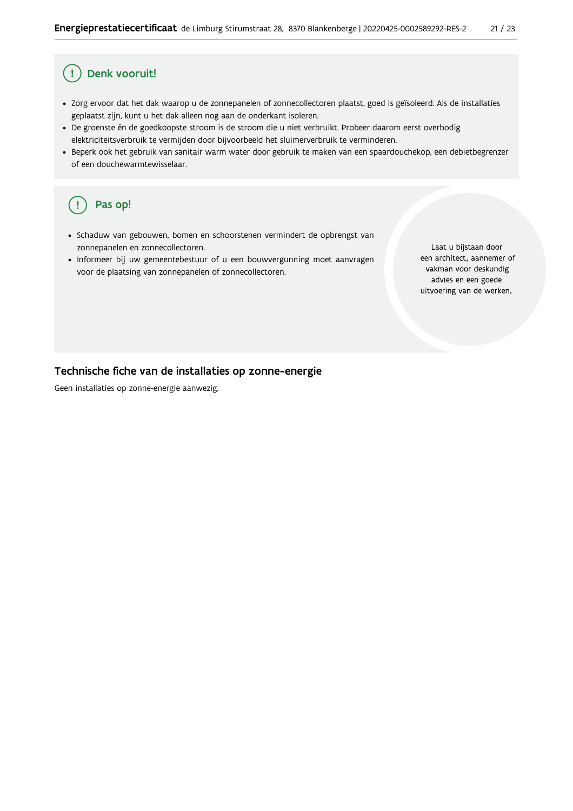#### Ţ Denk vooruit!

- · Zorg ervoor dat het dak waarop u de zonnepanelen of zonnecollectoren plaatst, goed is geïsoleerd. Als de installaties geplaatst zijn, kunt u het dak alleen nog aan de onderkant isoleren.
- · De groenste én de goedkoopste stroom is de stroom die u niet verbruikt. Probeer daarom eerst overbodig elektriciteitsverbruik te vermijden door bijvoorbeeld het sluimerverbruik te verminderen.
- · Beperk ook het gebruik van sanitair warm water door gebruik te maken van een spaardouchekop, een debietbegrenzer of een douchewarmtewisselaar.

#### Pas op!  $\left(\right.$   $\right.$

- · Schaduw van gebouwen, bomen en schoorstenen vermindert de opbrengst van zonnepanelen en zonnecollectoren.
- Informeer bij uw gemeentebestuur of u een bouwvergunning moet aanvragen voor de plaatsing van zonnepanelen of zonnecollectoren.

Laat u bijstaan door een architect, aannemer of vakman voor deskundig advies en een goede uitvoering van de werken.

#### Technische fiche van de installaties op zonne-energie

Geen installaties op zonne-energie aanwezig.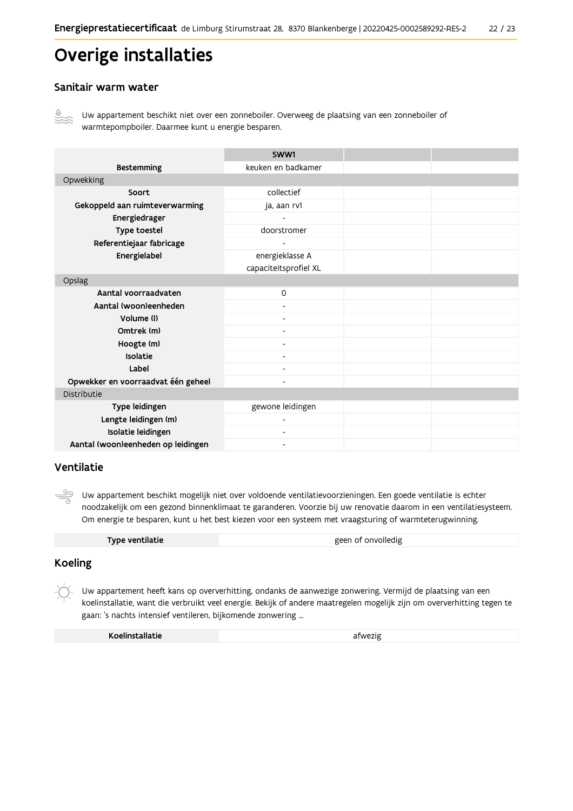## Overige installaties

#### Sanitair warm water



Uw appartement beschikt niet over een zonneboiler. Overweeg de plaatsing van een zonneboiler of warmtepompboiler. Daarmee kunt u energie besparen.

|                                    | SWW1                  |  |
|------------------------------------|-----------------------|--|
| <b>Bestemming</b>                  | keuken en badkamer    |  |
| Opwekking                          |                       |  |
| Soort                              | collectief            |  |
| Gekoppeld aan ruimteverwarming     | ja, aan rv1           |  |
| Energiedrager                      |                       |  |
| Type toestel                       | doorstromer           |  |
| Referentiejaar fabricage           | ۰                     |  |
| Energielabel                       | energieklasse A       |  |
|                                    | capaciteitsprofiel XL |  |
| Opslag                             |                       |  |
| Aantal voorraadvaten               | $\Omega$              |  |
| Aantal (woon)eenheden              |                       |  |
| Volume (I)                         |                       |  |
| Omtrek (m)                         |                       |  |
| Hoogte (m)                         |                       |  |
| Isolatie                           |                       |  |
| Label                              |                       |  |
| Opwekker en voorraadvat één geheel |                       |  |
| Distributie                        |                       |  |
| Type leidingen                     | gewone leidingen      |  |
| Lengte leidingen (m)               | ٠                     |  |
| Isolatie leidingen                 | Ξ.                    |  |
| Aantal (woon)eenheden op leidingen | -                     |  |

#### Ventilatie

 $\frac{\circledcirc}{\circ}$ Uw appartement beschikt mogelijk niet over voldoende ventilatievoorzieningen. Een goede ventilatie is echter noodzakelijk om een gezond binnenklimaat te garanderen. Voorzie bij uw renovatie daarom in een ventilatiesysteem. Om energie te besparen, kunt u het best kiezen voor een systeem met vraagsturing of warmteterugwinning.

| Type ventilatie | geen of onvolledig |
|-----------------|--------------------|
|                 |                    |

#### **Koeling**

Uw appartement heeft kans op oververhitting, ondanks de aanwezige zonwering. Vermijd de plaatsing van een koelinstallatie, want die verbruikt veel energie. Bekijk of andere maatregelen mogelijk zijn om oververhitting tegen te gaan: 's nachts intensief ventileren, bijkomende zonwering ...

| Koelinstallatie | afwezig |
|-----------------|---------|
|-----------------|---------|